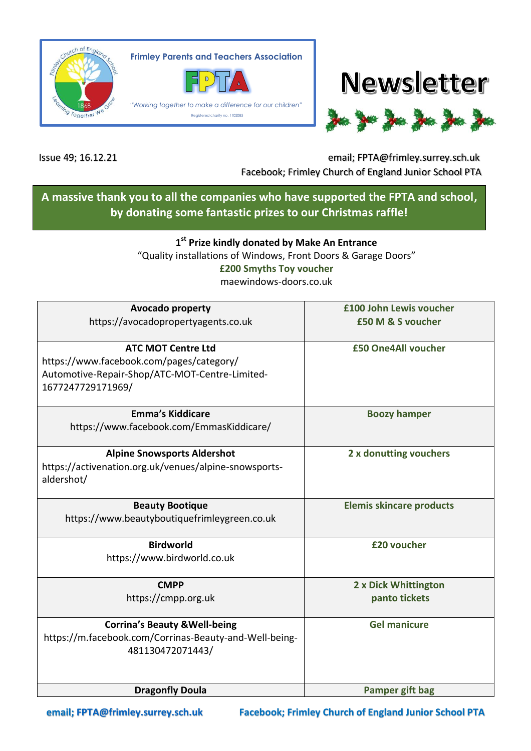

**Frimley Parents and Teachers Association**



*"Working together to make a difference for our children"* Registered charity no. 1102085





Issue 49; 16.12.21 email; FPTA@frimley.surrey.sch.uk Facebook; Frimley Church of England Junior School PTA

## **A massive thank you to all the companies who have supported the FPTA and school, by donating some fantastic prizes to our Christmas raffle!**

## **1 st Prize kindly donated by Make An Entrance**

"Quality installations of Windows, Front Doors & Garage Doors" **£200 Smyths Toy voucher** maewindows-doors.co.uk

| <b>Avocado property</b>                                | £100 John Lewis voucher         |
|--------------------------------------------------------|---------------------------------|
| https://avocadopropertyagents.co.uk                    | £50 M & S voucher               |
|                                                        |                                 |
| <b>ATC MOT Centre Ltd</b>                              | £50 One4All voucher             |
|                                                        |                                 |
| https://www.facebook.com/pages/category/               |                                 |
| Automotive-Repair-Shop/ATC-MOT-Centre-Limited-         |                                 |
| 1677247729171969/                                      |                                 |
|                                                        |                                 |
| <b>Emma's Kiddicare</b>                                | <b>Boozy hamper</b>             |
| https://www.facebook.com/EmmasKiddicare/               |                                 |
|                                                        |                                 |
| <b>Alpine Snowsports Aldershot</b>                     | 2 x donutting vouchers          |
| https://activenation.org.uk/venues/alpine-snowsports-  |                                 |
|                                                        |                                 |
| aldershot/                                             |                                 |
|                                                        |                                 |
| <b>Beauty Bootique</b>                                 | <b>Elemis skincare products</b> |
| https://www.beautyboutiquefrimleygreen.co.uk           |                                 |
|                                                        |                                 |
| <b>Birdworld</b>                                       | £20 voucher                     |
| https://www.birdworld.co.uk                            |                                 |
|                                                        |                                 |
| <b>CMPP</b>                                            | 2 x Dick Whittington            |
| https://cmpp.org.uk                                    | panto tickets                   |
|                                                        |                                 |
| <b>Corrina's Beauty &amp; Well-being</b>               | <b>Gel manicure</b>             |
| https://m.facebook.com/Corrinas-Beauty-and-Well-being- |                                 |
|                                                        |                                 |
| 481130472071443/                                       |                                 |
|                                                        |                                 |
|                                                        |                                 |
| <b>Dragonfly Doula</b>                                 | <b>Pamper gift bag</b>          |